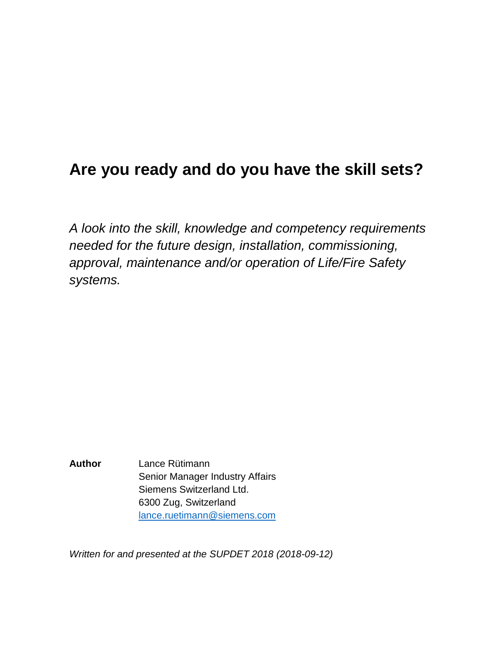# **Are you ready and do you have the skill sets?**

*A look into the skill, knowledge and competency requirements needed for the future design, installation, commissioning, approval, maintenance and/or operation of Life/Fire Safety systems.*

**Author** Lance Rütimann Senior Manager Industry Affairs Siemens Switzerland Ltd. 6300 Zug, Switzerland [lance.ruetimann@siemens.com](mailto:lance.ruetimann@siemens.com)

*Written for and presented at the SUPDET 2018 (2018-09-12)*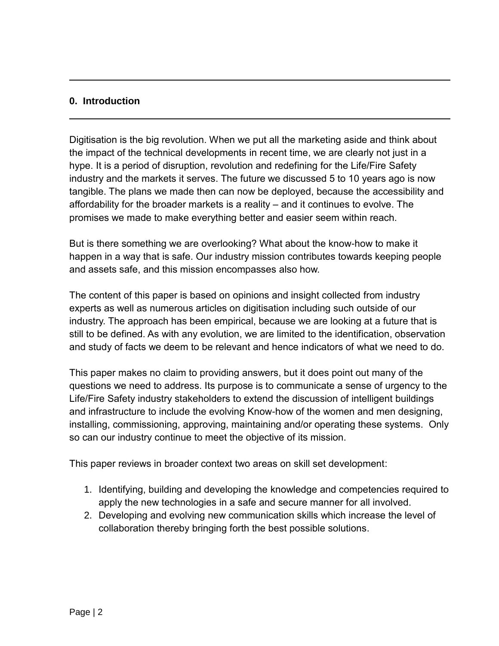#### **0. Introduction**

Digitisation is the big revolution. When we put all the marketing aside and think about the impact of the technical developments in recent time, we are clearly not just in a hype. It is a period of disruption, revolution and redefining for the Life/Fire Safety industry and the markets it serves. The future we discussed 5 to 10 years ago is now tangible. The plans we made then can now be deployed, because the accessibility and affordability for the broader markets is a reality – and it continues to evolve. The promises we made to make everything better and easier seem within reach.

But is there something we are overlooking? What about the know-how to make it happen in a way that is safe. Our industry mission contributes towards keeping people and assets safe, and this mission encompasses also how.

The content of this paper is based on opinions and insight collected from industry experts as well as numerous articles on digitisation including such outside of our industry. The approach has been empirical, because we are looking at a future that is still to be defined. As with any evolution, we are limited to the identification, observation and study of facts we deem to be relevant and hence indicators of what we need to do.

This paper makes no claim to providing answers, but it does point out many of the questions we need to address. Its purpose is to communicate a sense of urgency to the Life/Fire Safety industry stakeholders to extend the discussion of intelligent buildings and infrastructure to include the evolving Know-how of the women and men designing, installing, commissioning, approving, maintaining and/or operating these systems. Only so can our industry continue to meet the objective of its mission.

This paper reviews in broader context two areas on skill set development:

- 1. Identifying, building and developing the knowledge and competencies required to apply the new technologies in a safe and secure manner for all involved.
- 2. Developing and evolving new communication skills which increase the level of collaboration thereby bringing forth the best possible solutions.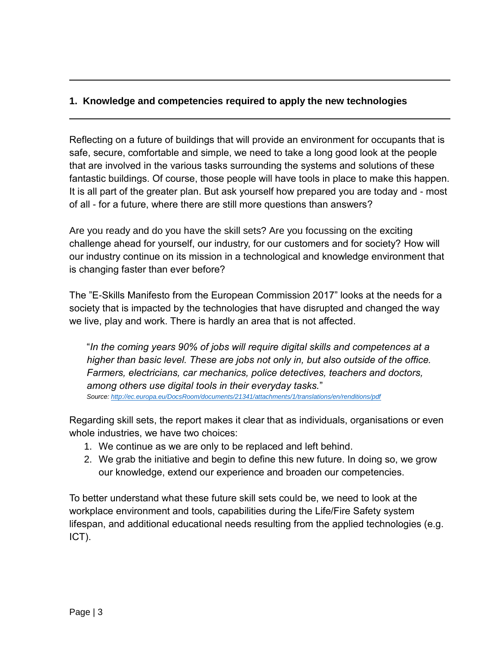## **1. Knowledge and competencies required to apply the new technologies**

Reflecting on a future of buildings that will provide an environment for occupants that is safe, secure, comfortable and simple, we need to take a long good look at the people that are involved in the various tasks surrounding the systems and solutions of these fantastic buildings. Of course, those people will have tools in place to make this happen. It is all part of the greater plan. But ask yourself how prepared you are today and - most of all - for a future, where there are still more questions than answers?

Are you ready and do you have the skill sets? Are you focussing on the exciting challenge ahead for yourself, our industry, for our customers and for society? How will our industry continue on its mission in a technological and knowledge environment that is changing faster than ever before?

The "E-Skills Manifesto from the European Commission 2017" looks at the needs for a society that is impacted by the technologies that have disrupted and changed the way we live, play and work. There is hardly an area that is not affected.

"*In the coming years 90% of jobs will require digital skills and competences at a higher than basic level. These are jobs not only in, but also outside of the office. Farmers, electricians, car mechanics, police detectives, teachers and doctors, among others use digital tools in their everyday tasks.*" *Source[: http://ec.europa.eu/DocsRoom/documents/21341/attachments/1/translations/en/renditions/pdf](http://ec.europa.eu/DocsRoom/documents/21341/attachments/1/translations/en/renditions/pdf)*

Regarding skill sets, the report makes it clear that as individuals, organisations or even whole industries, we have two choices:

- 1. We continue as we are only to be replaced and left behind.
- 2. We grab the initiative and begin to define this new future. In doing so, we grow our knowledge, extend our experience and broaden our competencies.

To better understand what these future skill sets could be, we need to look at the workplace environment and tools, capabilities during the Life/Fire Safety system lifespan, and additional educational needs resulting from the applied technologies (e.g. ICT).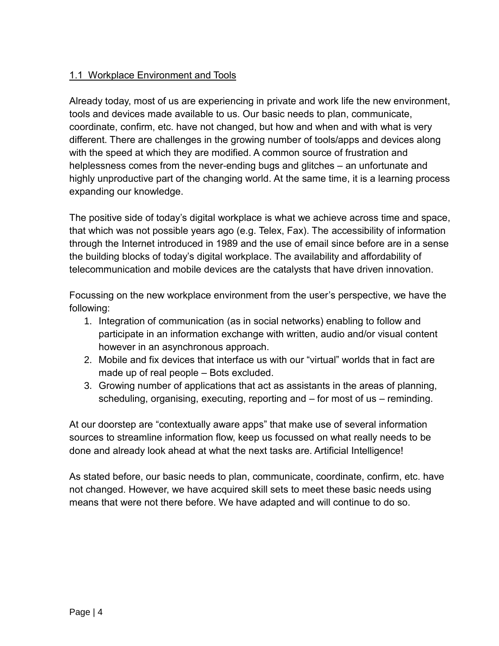## 1.1 Workplace Environment and Tools

Already today, most of us are experiencing in private and work life the new environment, tools and devices made available to us. Our basic needs to plan, communicate, coordinate, confirm, etc. have not changed, but how and when and with what is very different. There are challenges in the growing number of tools/apps and devices along with the speed at which they are modified. A common source of frustration and helplessness comes from the never-ending bugs and glitches – an unfortunate and highly unproductive part of the changing world. At the same time, it is a learning process expanding our knowledge.

The positive side of today's digital workplace is what we achieve across time and space, that which was not possible years ago (e.g. Telex, Fax). The accessibility of information through the Internet introduced in 1989 and the use of email since before are in a sense the building blocks of today's digital workplace. The availability and affordability of telecommunication and mobile devices are the catalysts that have driven innovation.

Focussing on the new workplace environment from the user's perspective, we have the following:

- 1. Integration of communication (as in social networks) enabling to follow and participate in an information exchange with written, audio and/or visual content however in an asynchronous approach.
- 2. Mobile and fix devices that interface us with our "virtual" worlds that in fact are made up of real people – Bots excluded.
- 3. Growing number of applications that act as assistants in the areas of planning, scheduling, organising, executing, reporting and – for most of us – reminding.

At our doorstep are "contextually aware apps" that make use of several information sources to streamline information flow, keep us focussed on what really needs to be done and already look ahead at what the next tasks are. Artificial Intelligence!

As stated before, our basic needs to plan, communicate, coordinate, confirm, etc. have not changed. However, we have acquired skill sets to meet these basic needs using means that were not there before. We have adapted and will continue to do so.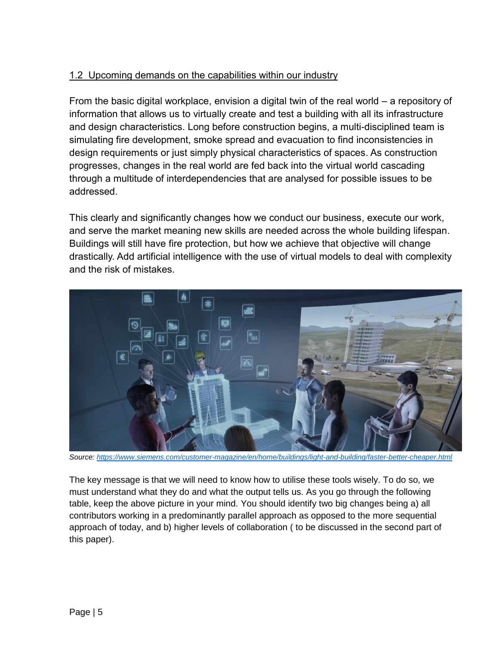## 1.2 Upcoming demands on the capabilities within our industry

From the basic digital workplace, envision a digital twin of the real world – a repository of information that allows us to virtually create and test a building with all its infrastructure and design characteristics. Long before construction begins, a multi-disciplined team is simulating fire development, smoke spread and evacuation to find inconsistencies in design requirements or just simply physical characteristics of spaces. As construction progresses, changes in the real world are fed back into the virtual world cascading through a multitude of interdependencies that are analysed for possible issues to be addressed.

This clearly and significantly changes how we conduct our business, execute our work, and serve the market meaning new skills are needed across the whole building lifespan. Buildings will still have fire protection, but how we achieve that objective will change drastically. Add artificial intelligence with the use of virtual models to deal with complexity and the risk of mistakes.



*Source[: https://www.siemens.com/customer-magazine/en/home/buildings/light-and-building/faster-better-cheaper.html](https://www.siemens.com/customer-magazine/en/home/buildings/light-and-building/faster-better-cheaper.html)*

The key message is that we will need to know how to utilise these tools wisely. To do so, we must understand what they do and what the output tells us. As you go through the following table, keep the above picture in your mind. You should identify two big changes being a) all contributors working in a predominantly parallel approach as opposed to the more sequential approach of today, and b) higher levels of collaboration ( to be discussed in the second part of this paper).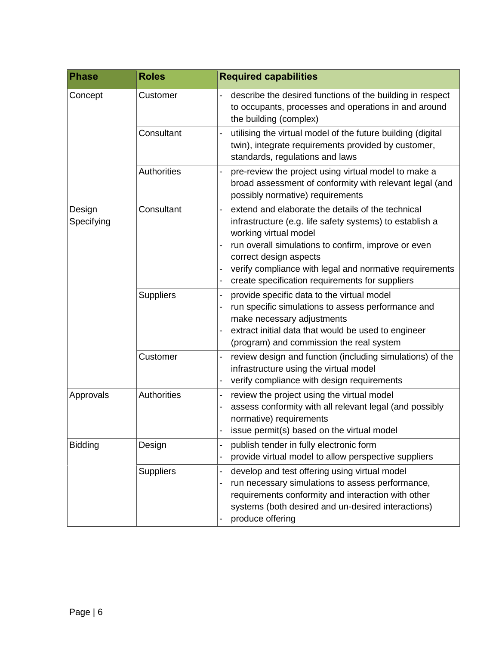| <b>Phase</b>         | <b>Roles</b>     | <b>Required capabilities</b>                                                                                                                                                                                                                                                                                                                                                        |
|----------------------|------------------|-------------------------------------------------------------------------------------------------------------------------------------------------------------------------------------------------------------------------------------------------------------------------------------------------------------------------------------------------------------------------------------|
| Concept              | Customer         | describe the desired functions of the building in respect<br>to occupants, processes and operations in and around<br>the building (complex)                                                                                                                                                                                                                                         |
|                      | Consultant       | utilising the virtual model of the future building (digital<br>$\overline{a}$<br>twin), integrate requirements provided by customer,<br>standards, regulations and laws                                                                                                                                                                                                             |
|                      | Authorities      | pre-review the project using virtual model to make a<br>broad assessment of conformity with relevant legal (and<br>possibly normative) requirements                                                                                                                                                                                                                                 |
| Design<br>Specifying | Consultant       | extend and elaborate the details of the technical<br>infrastructure (e.g. life safety systems) to establish a<br>working virtual model<br>run overall simulations to confirm, improve or even<br>$\overline{a}$<br>correct design aspects<br>verify compliance with legal and normative requirements<br>create specification requirements for suppliers<br>$\overline{\phantom{0}}$ |
|                      | <b>Suppliers</b> | provide specific data to the virtual model<br>$\overline{\phantom{0}}$<br>run specific simulations to assess performance and<br>make necessary adjustments<br>extract initial data that would be used to engineer<br>(program) and commission the real system                                                                                                                       |
|                      | Customer         | review design and function (including simulations) of the<br>infrastructure using the virtual model<br>verify compliance with design requirements                                                                                                                                                                                                                                   |
| Approvals            | Authorities      | review the project using the virtual model<br>$\overline{a}$<br>assess conformity with all relevant legal (and possibly<br>$\overline{\phantom{0}}$<br>normative) requirements<br>issue permit(s) based on the virtual model                                                                                                                                                        |
| <b>Bidding</b>       | Design           | publish tender in fully electronic form<br>provide virtual model to allow perspective suppliers                                                                                                                                                                                                                                                                                     |
|                      | <b>Suppliers</b> | develop and test offering using virtual model<br>run necessary simulations to assess performance,<br>requirements conformity and interaction with other<br>systems (both desired and un-desired interactions)<br>produce offering                                                                                                                                                   |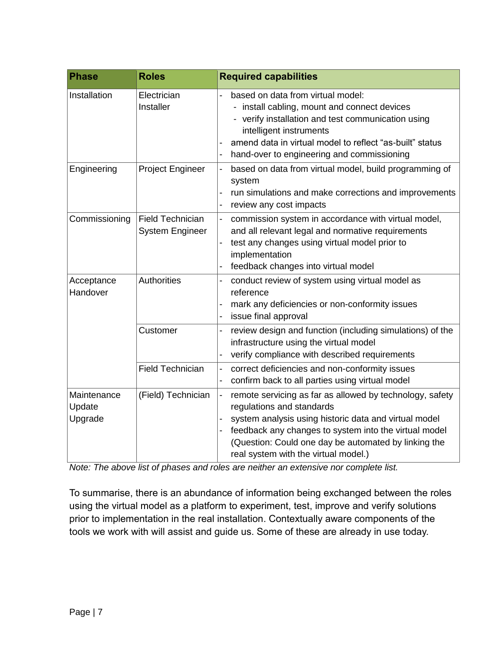| <b>Phase</b>                     | <b>Roles</b>                                      | <b>Required capabilities</b>                                                                                                                                                                                                                                                                                                            |
|----------------------------------|---------------------------------------------------|-----------------------------------------------------------------------------------------------------------------------------------------------------------------------------------------------------------------------------------------------------------------------------------------------------------------------------------------|
| Installation                     | Electrician<br>Installer                          | based on data from virtual model:<br>- install cabling, mount and connect devices<br>- verify installation and test communication using<br>intelligent instruments<br>amend data in virtual model to reflect "as-built" status<br>$\blacksquare$<br>hand-over to engineering and commissioning<br>$\overline{a}$                        |
| Engineering                      | <b>Project Engineer</b>                           | based on data from virtual model, build programming of<br>system<br>run simulations and make corrections and improvements<br>review any cost impacts<br>$\overline{\phantom{0}}$                                                                                                                                                        |
| Commissioning                    | <b>Field Technician</b><br><b>System Engineer</b> | commission system in accordance with virtual model,<br>and all relevant legal and normative requirements<br>test any changes using virtual model prior to<br>implementation<br>feedback changes into virtual model                                                                                                                      |
| Acceptance<br>Handover           | <b>Authorities</b>                                | conduct review of system using virtual model as<br>reference<br>mark any deficiencies or non-conformity issues<br>issue final approval                                                                                                                                                                                                  |
|                                  | Customer                                          | review design and function (including simulations) of the<br>infrastructure using the virtual model<br>verify compliance with described requirements                                                                                                                                                                                    |
|                                  | <b>Field Technician</b>                           | correct deficiencies and non-conformity issues<br>confirm back to all parties using virtual model<br>$\overline{\phantom{0}}$                                                                                                                                                                                                           |
| Maintenance<br>Update<br>Upgrade | (Field) Technician                                | remote servicing as far as allowed by technology, safety<br>$\qquad \qquad \blacksquare$<br>regulations and standards<br>system analysis using historic data and virtual model<br>feedback any changes to system into the virtual model<br>(Question: Could one day be automated by linking the<br>real system with the virtual model.) |

*Note: The above list of phases and roles are neither an extensive nor complete list.*

To summarise, there is an abundance of information being exchanged between the roles using the virtual model as a platform to experiment, test, improve and verify solutions prior to implementation in the real installation. Contextually aware components of the tools we work with will assist and guide us. Some of these are already in use today.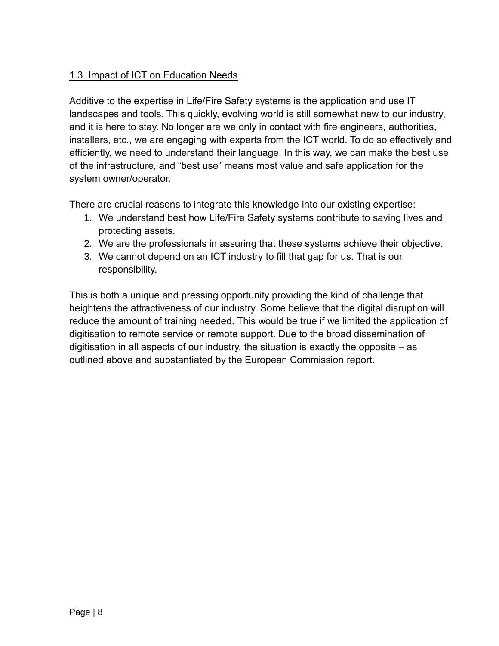## 1.3 Impact of ICT on Education Needs

Additive to the expertise in Life/Fire Safety systems is the application and use IT landscapes and tools. This quickly, evolving world is still somewhat new to our industry, and it is here to stay. No longer are we only in contact with fire engineers, authorities, installers, etc., we are engaging with experts from the ICT world. To do so effectively and efficiently, we need to understand their language. In this way, we can make the best use of the infrastructure, and "best use" means most value and safe application for the system owner/operator.

There are crucial reasons to integrate this knowledge into our existing expertise:

- 1. We understand best how Life/Fire Safety systems contribute to saving lives and protecting assets.
- 2. We are the professionals in assuring that these systems achieve their objective.
- 3. We cannot depend on an ICT industry to fill that gap for us. That is our responsibility.

This is both a unique and pressing opportunity providing the kind of challenge that heightens the attractiveness of our industry. Some believe that the digital disruption will reduce the amount of training needed. This would be true if we limited the application of digitisation to remote service or remote support. Due to the broad dissemination of digitisation in all aspects of our industry, the situation is exactly the opposite – as outlined above and substantiated by the European Commission report.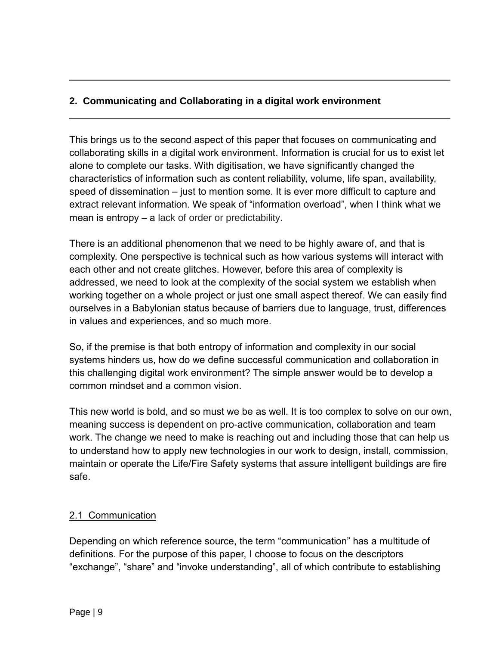## **2. Communicating and Collaborating in a digital work environment**

This brings us to the second aspect of this paper that focuses on communicating and collaborating skills in a digital work environment. Information is crucial for us to exist let alone to complete our tasks. With digitisation, we have significantly changed the characteristics of information such as content reliability, volume, life span, availability, speed of dissemination – just to mention some. It is ever more difficult to capture and extract relevant information. We speak of "information overload", when I think what we mean is entropy – a lack of order or predictability.

There is an additional phenomenon that we need to be highly aware of, and that is complexity. One perspective is technical such as how various systems will interact with each other and not create glitches. However, before this area of complexity is addressed, we need to look at the complexity of the social system we establish when working together on a whole project or just one small aspect thereof. We can easily find ourselves in a Babylonian status because of barriers due to language, trust, differences in values and experiences, and so much more.

So, if the premise is that both entropy of information and complexity in our social systems hinders us, how do we define successful communication and collaboration in this challenging digital work environment? The simple answer would be to develop a common mindset and a common vision.

This new world is bold, and so must we be as well. It is too complex to solve on our own, meaning success is dependent on pro-active communication, collaboration and team work. The change we need to make is reaching out and including those that can help us to understand how to apply new technologies in our work to design, install, commission, maintain or operate the Life/Fire Safety systems that assure intelligent buildings are fire safe.

#### 2.1 Communication

Depending on which reference source, the term "communication" has a multitude of definitions. For the purpose of this paper, I choose to focus on the descriptors "exchange", "share" and "invoke understanding", all of which contribute to establishing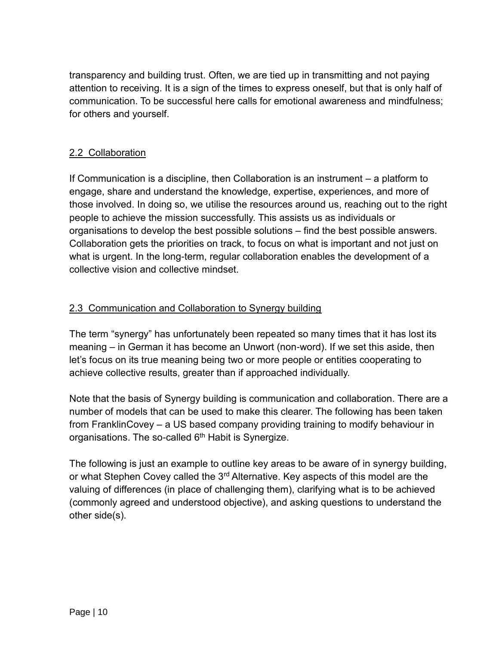transparency and building trust. Often, we are tied up in transmitting and not paying attention to receiving. It is a sign of the times to express oneself, but that is only half of communication. To be successful here calls for emotional awareness and mindfulness; for others and yourself.

## 2.2 Collaboration

If Communication is a discipline, then Collaboration is an instrument – a platform to engage, share and understand the knowledge, expertise, experiences, and more of those involved. In doing so, we utilise the resources around us, reaching out to the right people to achieve the mission successfully. This assists us as individuals or organisations to develop the best possible solutions – find the best possible answers. Collaboration gets the priorities on track, to focus on what is important and not just on what is urgent. In the long-term, regular collaboration enables the development of a collective vision and collective mindset.

#### 2.3 Communication and Collaboration to Synergy building

The term "synergy" has unfortunately been repeated so many times that it has lost its meaning – in German it has become an Unwort (non-word). If we set this aside, then let's focus on its true meaning being two or more people or entities cooperating to achieve collective results, greater than if approached individually.

Note that the basis of Synergy building is communication and collaboration. There are a number of models that can be used to make this clearer. The following has been taken from FranklinCovey – a US based company providing training to modify behaviour in organisations. The so-called  $6<sup>th</sup>$  Habit is Synergize.

The following is just an example to outline key areas to be aware of in synergy building, or what Stephen Covey called the 3<sup>rd</sup> Alternative. Key aspects of this model are the valuing of differences (in place of challenging them), clarifying what is to be achieved (commonly agreed and understood objective), and asking questions to understand the other side(s).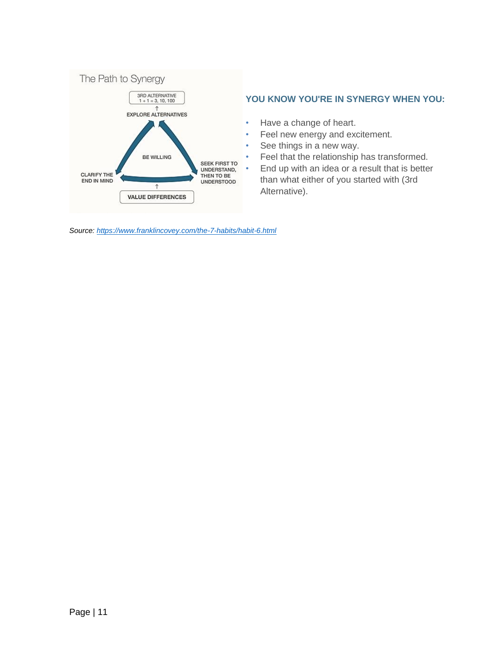

#### **YOU KNOW YOU'RE IN SYNERGY WHEN YOU:**

- Have a change of heart.
- Feel new energy and excitement.
- See things in a new way.
- Feel that the relationship has transformed.
- End up with an idea or a result that is better than what either of you started with (3rd Alternative).

*Source[: https://www.franklincovey.com/the-7-habits/habit-6.html](https://www.franklincovey.com/the-7-habits/habit-6.html)*